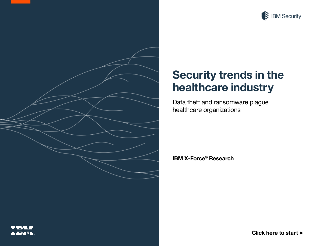

<span id="page-0-0"></span>

# **Security trends in the healthcare industry**

Data theft and ransomware plague healthcare organizations

**IBM X-Force® Research**



**[Click here to start](#page-1-0)** ▶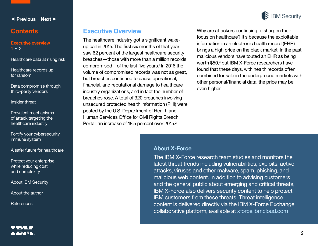<span id="page-1-0"></span>

#### **Contents**

#### **Executive overview 1 •** [2](#page-2-0)

[Healthcare data at rising risk](#page-3-0)

[Healthcare records up](#page-5-0)  for ransom

[Data compromise through](#page-6-0)  third-party vendors

[Insider threat](#page-9-0) 

[Prevalent mechanisms](#page-10-0)  of attack targeting the healthcare industry

[Fortify your cybersecurity](#page-14-0)  immune system

[A safer future for healthcare](#page-16-0)

[Protect your enterprise](#page-17-0)  while reducing cost and complexity

[About IBM Security](#page-17-0)

[About the author](#page-18-0)

**[References](#page-19-0)** 



#### **Executive Overview**

The healthcare industry got a significant wakeup call in 2015. The first six months of that year saw 62 percent of the largest healthcare security breaches—those with more than a million records compromised  $-$  of the last five years.<sup>1</sup> In 2016 the volume of compromised records was not as great, but breaches continued to cause operational, financial, and reputational damage to healthcare industry organizations, and in fact the number of breaches rose. A total of 320 breaches involving unsecured protected health information (PHI) were posted by the U.S. Department of Health and Human Services Office for Civil Rights Breach Portal, an increase of 18.5 percent over 2015.<sup>2</sup>



malicious vendors have touted an EHR as being worth \$50,<sup>3</sup> but IBM X-Force researchers have found that these days, with health records often combined for sale in the underground markets with other personal/financial data, the price may be even higher.

#### **About X-Force**

The IBM X-Force research team studies and monitors the latest threat trends including vulnerabilities, exploits, active attacks, viruses and other malware, spam, phishing, and malicious web content. In addition to advising customers and the general public about emerging and critical threats, IBM X-Force also delivers security content to help protect IBM customers from these threats. Threat intelligence content is delivered directly via the IBM X-Force Exchange collaborative platform, available at xforce.ibmcloud.com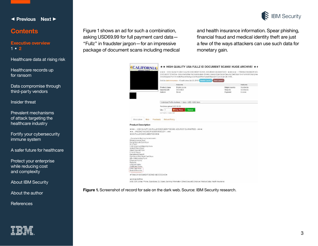

#### <span id="page-2-0"></span>**Contents**

#### **[Executive overview](#page-1-0)** [1](#page-1-0) **• 2**

[Healthcare data at rising risk](#page-3-0)

[Healthcare records up](#page-5-0)  for ransom

[Data compromise through](#page-6-0)  third-party vendors

[Insider threat](#page-9-0) 

[Prevalent mechanisms](#page-10-0)  of attack targeting the healthcare industry

[Fortify your cybersecurity](#page-14-0)  immune system

[A safer future for healthcare](#page-16-0)

[Protect your enterprise](#page-17-0)  while reducing cost and complexity

[About IBM Security](#page-17-0)

[About the author](#page-18-0)

**[References](#page-19-0)** 

Figure 1 shows an ad for such a combination, asking USD69.99 for full payment card data— "Fullz" in fraudster jargon—for an impressive package of document scans including medical and health insurance information. Spear phishing, financial fraud and medical identity theft are just a few of the ways attackers can use such data for monetary gain.

|                                                                                                                                                                                                                                                                                                               |              | <b><i><u>ECALIFORNIA</u></i></b>          |                                                                                             | * * * - HIGH QEALITY USA FULLZ ID DOCUMENT SCANS, ADCURACY GUARANTEED -- * * * * + FRESHLY HACKEDIR NEV                    |                                  |  |
|---------------------------------------------------------------------------------------------------------------------------------------------------------------------------------------------------------------------------------------------------------------------------------------------------------------|--------------|-------------------------------------------|---------------------------------------------------------------------------------------------|----------------------------------------------------------------------------------------------------------------------------|----------------------------------|--|
|                                                                                                                                                                                                                                                                                                               |              |                                           | Direct Deposit Form E-Verify Report Background Report Permanent Resident Card Scan DE-4 Wit | DOCUMENT SCANS * -- Documents that may be included-- Drivers Licence Scan Social Security Card Scan W-4 Form I-9 Employmen |                                  |  |
|                                                                                                                                                                                                                                                                                                               |              |                                           | Said by dailymoneyrsan - 10 sold since Oct 28, 2016   Magicul Linnity,                      | Trust Level 5                                                                                                              |                                  |  |
|                                                                                                                                                                                                                                                                                                               |              |                                           | Features                                                                                    |                                                                                                                            | Features                         |  |
|                                                                                                                                                                                                                                                                                                               |              | Product class<br>Quantity left<br>Ends in | Digital goods<br>1.Inlimited<br>Never                                                       | Origin country<br>Ships to<br>Payment                                                                                      | Worldwide<br>Worldwide<br>Escrow |  |
|                                                                                                                                                                                                                                                                                                               |              |                                           | Individual Profile Archives - 1 days - USD +0.00 / item                                     |                                                                                                                            |                                  |  |
|                                                                                                                                                                                                                                                                                                               |              |                                           | Purchase price: USD 69.90                                                                   |                                                                                                                            |                                  |  |
|                                                                                                                                                                                                                                                                                                               |              |                                           |                                                                                             |                                                                                                                            |                                  |  |
|                                                                                                                                                                                                                                                                                                               |              | Qty. 1<br>OUTS BTC - \$ 0602 KIM          | <b>Buy Now</b><br>Queue                                                                     |                                                                                                                            |                                  |  |
|                                                                                                                                                                                                                                                                                                               |              |                                           |                                                                                             |                                                                                                                            |                                  |  |
|                                                                                                                                                                                                                                                                                                               |              |                                           |                                                                                             |                                                                                                                            |                                  |  |
| <b>Description</b>                                                                                                                                                                                                                                                                                            | <b>Filds</b> | Refund Palicy<br><b>Feedback</b>          |                                                                                             |                                                                                                                            |                                  |  |
|                                                                                                                                                                                                                                                                                                               |              |                                           |                                                                                             |                                                                                                                            |                                  |  |
| <b>Product Description</b><br>*USA FULLZ ID DOCUMENT SCANS *                                                                                                                                                                                                                                                  |              | $* * - FRFSHYHANCHTHNFWER RFSQIDH$        | *** - HIGH QUALITY USA FULLZ ID DOCUMENT SCANS, ACCURACY GUARANTEED -- * * *                |                                                                                                                            |                                  |  |
|                                                                                                                                                                                                                                                                                                               |              |                                           |                                                                                             |                                                                                                                            |                                  |  |
|                                                                                                                                                                                                                                                                                                               |              |                                           |                                                                                             |                                                                                                                            |                                  |  |
|                                                                                                                                                                                                                                                                                                               |              |                                           |                                                                                             |                                                                                                                            |                                  |  |
| -Documents that may be included-<br>Drivers Licence Scan<br>Social Security Card Scan<br>W-4 Form<br>I-9 Employment Eligibility Form<br>Voided Check Scan<br>Direct Deposit Form<br>E-Verify Report<br>Background Report<br>Permanent Resident Card Scan<br>DE-4 Withholding Form<br>Employer Forms<br>Resume |              |                                           |                                                                                             |                                                                                                                            |                                  |  |
| Interview Notes<br>Certificate Scans<br>CFR Card Scan<br>Medical Records                                                                                                                                                                                                                                      |              |                                           |                                                                                             |                                                                                                                            |                                  |  |

**Figure 1.** Screenshot of record for sale on the dark web. Source: IBM Security research.

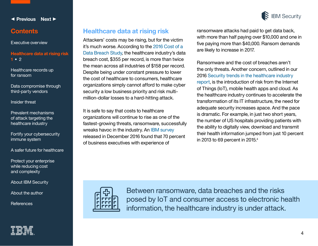

4

<span id="page-3-0"></span>◀ **[Previous](#page-2-0) [Next](#page-4-0)** ▶

#### **Contents**

[Executive overview](#page-1-0)

#### **Healthcare data at rising risk 1 •** [2](#page-4-0)

[Healthcare records up](#page-5-0)  for ransom

[Data compromise through](#page-6-0)  third-party vendors

[Insider threat](#page-9-0) 

[Prevalent mechanisms](#page-10-0)  of attack targeting the healthcare industry

[Fortify your cybersecurity](#page-14-0)  immune system

[A safer future for healthcare](#page-16-0)

[Protect your enterprise](#page-17-0)  while reducing cost and complexity

[About IBM Security](#page-17-0)

[About the author](#page-18-0)

**[References](#page-19-0)** 

#### **Healthcare data at rising risk**

Attackers' costs may be rising, but for the victim it's much worse. According to the [2016 Cost of a](https://www.ibm.com/marketing/iwm/dre/signup?source=mrs-form-1995&S_PKG=ov49542)  [Data Breach Study,](https://www.ibm.com/marketing/iwm/dre/signup?source=mrs-form-1995&S_PKG=ov49542) the healthcare industry's data breach cost, \$355 per record, is more than twice the mean across all industries of \$158 per record. Despite being under constant pressure to lower the cost of healthcare to consumers, healthcare organizations simply cannot afford to make cyber security a low business priority and risk multimillion-dollar losses to a hard-hitting attack.

It is safe to say that costs to healthcare organizations will continue to rise as one of the fastest-growing threats, ransomware, successfully wreaks havoc in the industry. An [IBM survey](https://www-01.ibm.com/marketing/iwm/dre/signup?source=mrs-form-10908&S_PKG=ov55738&ce=ISM0484&ct=SWG&cmp=IBMSocial&cm=h&cr=Security&ccy=US) released in December 2016 found that 70 percent of business executives with experience of

ransomware attacks had paid to get data back, with more than half paying over \$10,000 and one in five paying more than \$40,000. Ransom demands are likely to increase in 2017.

Ransomware and the cost of breaches aren't the only threats. Another concern, outlined in our 2016 [Security trends in the healthcare industry](http://www-01.ibm.com/common/ssi/cgi-bin/ssialias?subtype=WH&infotype=SA&htmlfid=SEL03048USEN&attachment=SEL03048USEN.PDF) report, is the introduction of risk from the Internet of Things (IoT), mobile health apps and cloud. As the healthcare industry continues to accelerate the transformation of its IT infrastructure, the need for adequate security increases apace. And the pace is dramatic. For example, in just two short years, the number of US hospitals providing patients with the ability to digitally view, download and transmit their health information jumped from just 10 percent in 2013 to 69 percent in 2015.<sup>4</sup>



Between ransomware, data breaches and the risks posed by IoT and consumer access to electronic health information, the healthcare industry is under attack.

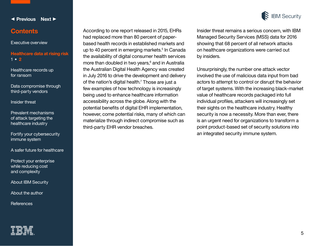

[1](#page-3-0) **• 2**

[Data compromise through](#page-6-0)  third-party vendors

[Healthcare records up](#page-5-0) 

**Healthcare data at rising ris** 

<span id="page-4-0"></span>◀ **[Previous](#page-3-0) [Next](#page-5-0)** ▶

**Contents**

[Executive overview](#page-1-0)

[Insider threat](#page-9-0) 

[Prevalent mechanisms](#page-10-0)  of attack targeting the healthcare industry

[Fortify your cybersecurity](#page-14-0)  immune system

[A safer future for healthcare](#page-16-0)

[Protect your enterprise](#page-17-0)  while reducing cost and complexity

[About IBM Security](#page-17-0)

[About the author](#page-18-0)

**[References](#page-19-0)** 



According to one report released in 2015, EHRs had replaced more than 80 percent of paperbased health records in established markets and up to 40 percent in emerging markets.<sup>5</sup> In Canada the availability of digital consumer health services more than doubled in two years,<sup>6</sup> and in Australia the Australian Digital Health Agency was created in July 2016 to drive the development and delivery of the nation's digital health.<sup>7</sup> Those are just a few examples of how technology is increasingly being used to enhance healthcare information accessibility across the globe. Along with the potential benefits of digital EHR implementation, however, come potential risks, many of which can materialize through indirect compromise such as third-party EHR vendor breaches.



Insider threat remains a serious concern, with IBM Managed Security Services (MSS) data for 2016 showing that 68 percent of all network attacks on healthcare organizations were carried out by insiders.

Unsurprisingly, the number one attack vector involved the use of malicious data input from bad actors to attempt to control or disrupt the behavior of target systems. With the increasing black-market value of healthcare records packaged into full individual profiles, attackers will increasingly set their sights on the healthcare industry. Healthy security is now a necessity. More than ever, there is an urgent need for organizations to transform a point product-based set of security solutions into an integrated security immune system.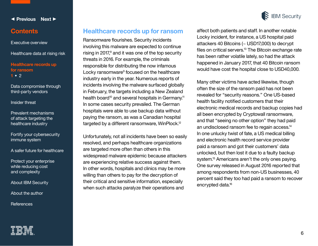

#### <span id="page-5-0"></span>**Contents**

[Executive overview](#page-1-0)

[Healthcare data at rising risk](#page-3-0)

**Healthcare records up for ransom 1 •** [2](#page-6-0)

[Data compromise through](#page-6-0)  third-party vendors

[Insider threat](#page-9-0) 

[Prevalent mechanisms](#page-10-0)  of attack targeting the healthcare industry

[Fortify your cybersecurity](#page-14-0)  immune system

[A safer future for healthcare](#page-16-0)

[Protect your enterprise](#page-17-0)  while reducing cost and complexity

[About IBM Security](#page-17-0)

[About the author](#page-18-0)

**[References](#page-19-0)** 

#### **Healthcare records up for ransom**

Ransomware flourishes. Security incidents involving this malware are expected to continue rising in 2017, $8$  and it was one of the top security threats in 2016. For example, the criminals responsible for distributing the now infamous Locky ransomware<sup>9</sup> focused on the healthcare industry early in the year. Numerous reports of incidents involving the malware surfaced globally in February, the targets including a New Zealand health board<sup>10</sup> and several hospitals in Germany.<sup>11</sup> In some cases security prevailed. The German hospitals were able to use backup data without paying the ransom, as was a Canadian hospital targeted by a different ransomware, WinPlock.<sup>12</sup>

Unfortunately, not all incidents have been so easily resolved, and perhaps healthcare organizations are targeted more often than others in this widespread malware epidemic because attackers are experiencing relative success against them. In other words, hospitals and clinics may be more willing than others to pay for the decryption of their critical and sensitive information, especially when such attacks paralyze their operations and



Many other victims have acted likewise, though often the size of the ransom paid has not been revealed for "security reasons." One US-based health facility notified customers that their electronic medical records and backup copies had all been encrypted by Cryptowall ransomware, and that "seeing no other option" they had paid an undisclosed ransom fee to regain access.14 In one unlucky twist of fate, a US medical billing and electronic health record service provider paid a ransom and got their customers' data unlocked, but then lost it due to a faulty backup system.<sup>15</sup> Americans aren't the only ones paying. One survey released in August 2016 reported that among respondents from non-US businesses, 40 percent said they too had paid a ransom to recover encrypted data.<sup>16</sup>

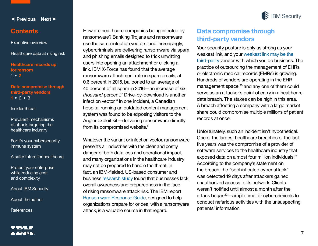

#### <span id="page-6-0"></span>**Contents**

[Executive overview](#page-1-0)

[Healthcare data at rising risk](#page-3-0)

**[Healthcare records up](#page-5-0)  for ransom** [1](#page-5-0) **• 2**

**Data compromise through third-party vendors 1 •** [2](#page-7-0) **•** [3](#page-8-0)

[Insider threat](#page-9-0) 

[Prevalent mechanisms](#page-10-0)  of attack targeting the healthcare industry

[Fortify your cybersecurity](#page-14-0)  immune system

[A safer future for healthcare](#page-16-0)

[Protect your enterprise](#page-17-0)  while reducing cost and complexity

[About IBM Security](#page-17-0)

[About the author](#page-18-0)

**[References](#page-19-0)** 

How are healthcare companies being infected by ransomware? Banking Trojans and ransomware use the same infection vectors, and increasingly, cybercriminals are delivering ransomware via spam and phishing emails designed to trick unwitting users into opening an attachment or clicking a link. IBM X-Force has found that the average ransomware attachment rate in spam emails, at 0.6 percent in 2015, ballooned to an average of 40 percent of all spam in 2016—an increase of six *thousand* percent.17 Drive-by-download is another infection vector.18 In one incident, a Canadian hospital running an outdated content management system was found to be exposing visitors to the Angler exploit kit—delivering ransomware directly from its compromised website.<sup>19</sup>

Whatever the variant or infection vector, ransomware presents all industries with the clear and costly danger of both data loss and operational impact, and many organizations in the healthcare industry may not be prepared to handle the threat. In fact, an IBM-fielded, US-based consumer and business [research study](https://www-01.ibm.com/marketing/iwm/dre/signup?source=mrs-form-10908&S_PKG=ov55738&ce=ISM0484&ct=SWG&cmp=IBMSocial&cm=h&cr=Security&ccy=US) found that businesses lack overall awareness and preparedness in the face of rising ransomware attack risk. The IBM report [Ransomware Response Guide,](https://www-01.ibm.com/marketing/iwm/dre/signup?source=mrs-form-2195&S_PKG=ov50041&ce=ISM0484&ct=SWG&cmp=IBMSocial&cm=h&cr=Security&ccy=US) designed to help organizations prepare for or deal with a ransomware attack, is a valuable source in that regard.

### **Data compromise through third-party vendors**

Your security posture is only as strong as your weakest link, and your [weakest link may be the](http://www.darkreading.com/vulnerabilities---threats/vulnerability-management/data-loss-risks-rise-in-the-age-of-collaboration/d/d-id/1326905)  [third-party](http://www.darkreading.com/vulnerabilities---threats/vulnerability-management/data-loss-risks-rise-in-the-age-of-collaboration/d/d-id/1326905) vendor with which you do business. The practice of outsourcing the management of EHRs or electronic medical records (EMRs) is growing. Hundreds of vendors are operating in the EHR management space,<sup>20</sup> and any one of them could serve as an attacker's point of entry in a healthcare data breach. The stakes can be high in this area. A breach affecting a company with a large market share could compromise multiple millions of patient records at once.

Unfortunately, such an incident isn't hypothetical. One of the largest healthcare breaches of the last five years was the compromise of a provider of software services to the healthcare industry that exposed data on almost four million individuals.<sup>21</sup> According to the company's statement on the breach, the "sophisticated cyber attack" was detected 19 days after attackers gained unauthorized access to its network. Clients weren't notified until almost a month after the attack began<sup>22</sup> — ample time for cybercriminals to conduct nefarious activities with the unsuspecting patients' information.

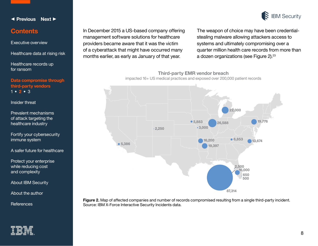

#### <span id="page-7-0"></span>**Contents**

[Executive overview](#page-1-0)

#### [Healthcare data at rising risk](#page-3-0)

[Healthcare records up](#page-5-0)  for ransom

**[Data compromise through](#page-6-0)  third-party vendors** [1](#page-6-0) **• 2 •** [3](#page-8-0)

[Insider threat](#page-9-0) 

[Prevalent mechanisms](#page-10-0)  of attack targeting the healthcare industry

[Fortify your cybersecurity](#page-14-0)  immune system

[A safer future for healthcare](#page-16-0)

[Protect your enterprise](#page-17-0)  while reducing cost and complexity

[About IBM Security](#page-17-0)

[About the author](#page-18-0)

**[References](#page-19-0)** 

In December 2015 a US-based company offering management software solutions for healthcare providers became aware that it was the victim of a cyberattack that might have occurred many months earlier, as early as January of that year.

The weapon of choice may have been credentialstealing malware allowing attackers access to systems and ultimately compromising over a quarter million health care records from more than a dozen organizations (see Figure 2).<sup>23</sup>

**Third-party EMR vendor breach**

impacted 16+ US medical practices and exposed over 200,000 patient records



**Figure 2.** Map of affected companies and number of records compromised resulting from a single third-party incident. Source: IBM X-Force Interactive Security Incidents data.

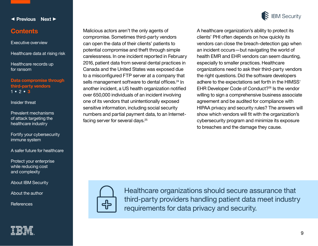

[Protect your enterprise](#page-17-0)  while reducing cost

[Prevalent mechanisms](#page-10-0)  of attack targeting the healthcare industry

#### [Executive overview](#page-1-0) [Healthcare data at rising risk](#page-3-0)

**Contents**

<span id="page-8-0"></span>◀ **[Previous](#page-7-0) [Next](#page-9-0)** ▶

[Healthcare records up](#page-5-0)  for ransom

**[Data compromise through](#page-6-0)** 

**third-party vendors**

[1](#page-6-0) **•** [2](#page-7-0) **• 3**

[Insider threat](#page-9-0) 

[Fortify your cybersecurity](#page-14-0)  immune system

[A safer future for healthcare](#page-16-0)

and complexity

[About IBM Security](#page-17-0)

[About the author](#page-18-0)

**[References](#page-19-0)** 

Malicious actors aren't the only agents of compromise. Sometimes third-party vendors can open the data of their clients' patients to potential compromise and theft through simple carelessness. In one incident reported in February 2016, patient data from several dental practices in Canada and the United States was exposed due to a misconfigured FTP server at a company that sells management software to dental offices.<sup>24</sup> In another incident, a US health organization notified over 650,000 individuals of an incident involving one of its vendors that unintentionally exposed sensitive information, including social security numbers and partial payment data, to an Internetfacing server for several days.<sup>25</sup>



A healthcare organization's ability to protect its clients' PHI often depends on how quickly its vendors can close the breach-detection gap when an incident occurs—but navigating the world of health EMR and EHR vendors can seem daunting, especially to smaller practices. Healthcare organizations need to ask their third-party vendors the right questions. Did the software developers adhere to the expectations set forth in the HIMSS' EHR Developer Code of Conduct?<sup>26</sup> Is the vendor willing to sign a comprehensive business associate agreement and be audited for compliance with HIPAA privacy and security rules? The answers will show which vendors will fit with the organization's cybersecurity program and minimize its exposure to breaches and the damage they cause.



Healthcare organizations should secure assurance that

requirements for data privacy and security.

third-party providers handling patient data meet industry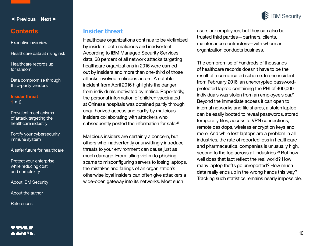

#### **Contents**

[Executive overview](#page-1-0)

<span id="page-9-0"></span>◀ **[Previous](#page-8-0) [Next](#page-10-0)** ▶

[Healthcare data at rising risk](#page-3-0)

[Healthcare records up](#page-5-0)  for ransom

[Data compromise through](#page-6-0)  third-party vendors

#### **Insider threat 1 •** [2](#page-10-0)

[Prevalent mechanisms](#page-10-0)  of attack targeting the healthcare industry

[Fortify your cybersecurity](#page-14-0)  immune system

[A safer future for healthcare](#page-16-0)

[Protect your enterprise](#page-17-0)  while reducing cost and complexity

[About IBM Security](#page-17-0)

[About the author](#page-18-0)

**[References](#page-19-0)** 

#### **Insider threat**

Healthcare organizations continue to be victimized by insiders, both malicious and inadvertent. According to IBM Managed Security Services data, 68 percent of all network attacks targeting healthcare organizations in 2016 were carried out by insiders and more than one-third of those attacks involved malicious actors. A notable incident from April 2016 highlights the danger from individuals motivated by malice. Reportedly, the personal information of children vaccinated at Chinese hospitals was obtained partly through unauthorized access and partly by malicious insiders collaborating with attackers who subsequently posted the information for sale.<sup>27</sup>

Malicious insiders are certainly a concern, but others who inadvertently or unwittingly introduce threats to your environment can cause just as much damage. From falling victim to phishing scams to misconfiguring servers to losing laptops, the mistakes and failings of an organization's otherwise loyal insiders can often give attackers a wide-open gateway into its networks. Most such

users are employees, but they can also be trusted third parties—partners, clients, maintenance contractors—with whom an organization conducts business.

The compromise of hundreds of thousands of healthcare records doesn't have to be the result of a complicated scheme. In one incident from February 2016, an unencrypted passwordprotected laptop containing the PHI of 400,000 individuals was stolen from an employee's car.<sup>28</sup> Beyond the immediate access it can open to internal networks and file shares, a stolen laptop can be easily booted to reveal passwords, stored temporary files, access to VPN connections, remote desktops, wireless encryption keys and more. And while lost laptops are a problem in all industries, the rate of reported loss in healthcare and pharmaceutical companies is unusually high, second to the top across all industries.<sup>29</sup> But how well does that fact reflect the real world? How many laptop thefts go unreported? How much data really ends up in the wrong hands this way? Tracking such statistics remains nearly impossible.

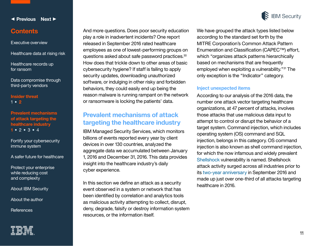

11

<span id="page-10-0"></span>◀ **[Previous](#page-9-0) [Next](#page-11-0)** ▶

#### **Contents**

[Executive overview](#page-1-0)

[Healthcare data at rising risk](#page-3-0)

[Healthcare records up](#page-5-0)  for ransom

[Data compromise through](#page-6-0)  third-party vendors

**[Insider threat](#page-9-0)**  [1](#page-9-0) **• 2**

**Prevalent mechanisms of attack targeting the healthcare industry 1 •** [2](#page-11-0) **•** [3](#page-12-0) **•** [4](#page-13-0)

[Fortify your cybersecurity](#page-14-0)  immune system

[A safer future for healthcare](#page-16-0)

[Protect your enterprise](#page-17-0)  while reducing cost and complexity

[About IBM Security](#page-17-0)

[About the author](#page-18-0)

**[References](#page-19-0)** 

And more questions. Does poor security education play a role in inadvertent incidents? One report released in September 2016 rated healthcare employees as one of lowest-performing groups on questions asked about safe password practices.<sup>30</sup> How does that trickle down to other areas of basic cybersecurity hygiene? If staff is failing to apply security updates, downloading unauthorized software, or indulging in other risky and forbidden behaviors, they could easily end up being the reason malware is running rampant on the network or ransomware is locking the patients' data.

#### **Prevalent mechanisms of attack targeting the healthcare industry**

IBM Managed Security Services, which monitors billions of events reported every year by client devices in over 130 countries, analyzed the aggregate data we accumulated between January 1, 2016 and December 31, 2016. This data provides insight into the healthcare industry's daily cyber experience.

In this section we define an attack as a security event observed in a system or network that has been identified by correlation and analytics tools as malicious activity attempting to collect, disrupt, deny, degrade, falsify or destroy information system resources, or the information itself.

We have grouped the attack types listed below according to the standard set forth by the MITRE Corporation's Common Attack Pattern Enumeration and Classification (CAPEC™) effort, which "organizes attack patterns hierarchically based on mechanisms that are frequently employed when exploiting a vulnerability."31 The only exception is the "Indicator" category.

#### **Inject unexpected items**

According to our analysis of the 2016 data, the number one attack vector targeting healthcare organizations, at 47 percent of attacks, involves those attacks that use malicious data input to attempt to control or disrupt the behavior of a target system. Command injection, which includes operating system (OS) command and SQL injection, belongs in this category. OS command injection is also known as shell command injection, for which the now infamous and widely prevalent [Shellshock](https://securityintelligence.com/tag/shellshock/) vulnerability is named. Shellshock attack activity surged across all industries prior to its [two-year anniversary](https://securityintelligence.com/researchers-detect-second-wave-shellshock-attacks-since-two-year-anniversary/) in September 2016 and made up just over one-third of all attacks targeting healthcare in 2016.

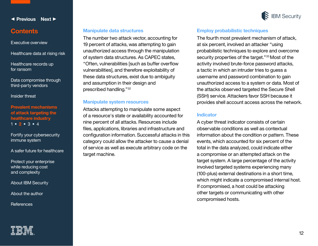

#### <span id="page-11-0"></span>**Contents**

#### [Executive overview](#page-1-0)

#### [Healthcare data at rising risk](#page-3-0)

[Healthcare records up](#page-5-0)  for ransom

[Data compromise through](#page-6-0)  third-party vendors

[Insider threat](#page-9-0) 

#### **[Prevalent mechanisms](#page-10-0)  of attack targeting the healthcare industry**  [1](#page-10-0) **• 2 •** [3](#page-12-0) **•** [4](#page-13-0)

[Fortify your cybersecurity](#page-14-0)  immune system

[A safer future for healthcare](#page-16-0)

[Protect your enterprise](#page-17-0)  while reducing cost and complexity

[About IBM Security](#page-17-0)

[About the author](#page-18-0)

**[References](#page-19-0)** 



#### **Manipulate data structures**

The number two attack vector, accounting for 19 percent of attacks, was attempting to gain unauthorized access through the manipulation of system data structures. As CAPEC states, "Often, vulnerabilities [such as buffer overflow vulnerabilities], and therefore exploitability of these data structures, exist due to ambiguity and assumption in their design and prescribed handling."<sup>32</sup>

#### **Manipulate system resources**

Attacks attempting to manipulate some aspect of a resource's state or availability accounted for nine percent of all attacks. Resources include files, applications, libraries and infrastructure and configuration information. Successful attacks in this category could allow the attacker to cause a denial of service as well as execute arbitrary code on the target machine.

#### **Employ probabilistic techniques**

The fourth most prevalent mechanism of attack, at six percent, involved an attacker "using probabilistic techniques to explore and overcome security properties of the target."<sup>33</sup> Most of the activity involved brute-force password attacks, a tactic in which an intruder tries to guess a username and password combination to gain unauthorized access to a system or data. Most of the attacks observed targeted the Secure Shell (SSH) service. Attackers favor SSH because it provides shell account access across the network.

#### **Indicator**

A cyber threat indicator consists of certain observable conditions as well as contextual information about the condition or pattern. These events, which accounted for six percent of the total in the data analyzed, could indicate either a compromise or an attempted attack on the target system. A large percentage of the activity involved targeted systems experiencing many (100-plus) external destinations in a short time, which might indicate a compromised internal host. If compromised, a host could be attacking other targets or communicating with other compromised hosts.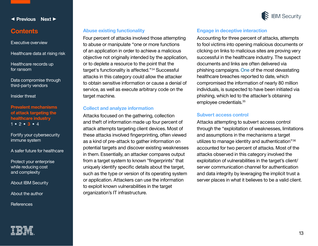

utilizes to manage identity and authentication"<sup>36</sup> accounted for two percent of attacks. Most of the attacks observed in this category involved the exploitation of vulnerabilities in the target's client/ server communication channel for authentication and data integrity by leveraging the implicit trust a server places in what it believes to be a valid client.

through the "exploitation of weaknesses, limitations

**Subvert access control**

# employee credentials.35

Attacks attempting to subvert access control

and assumptions in the mechanisms a target

#### **Engage in deceptive interaction**

Accounting for three percent of attacks, attempts to fool victims into opening malicious documents or clicking on links to malicious sites are proving very successful in the healthcare industry. The suspect documents and links are often delivered via phishing campaigns. [One](https://en.wikipedia.org/wiki/Anthem_medical_data_breach) of the most devastating healthcare breaches reported to date, which compromised the information of nearly 80 million individuals, is suspected to have been initiated via phishing, which led to the attacker's obtaining

#### **Abuse existing functionality**

Four percent of attacks involved those attempting to abuse or manipulate "one or more functions of an application in order to achieve a malicious objective not originally intended by the application, or to deplete a resource to the point that the target's functionality is affected."34 Successful attacks in this category could allow the attacker to obtain sensitive information or cause a denial of service, as well as execute arbitrary code on the target machine.

#### **Collect and analyze information**

Attacks focused on the gathering, collection and theft of information made up four percent of attack attempts targeting client devices. Most of these attacks involved fingerprinting, often viewed as a kind of pre-attack to gather information on potential targets and discover existing weaknesses in them. Essentially, an attacker compares output from a target system to known "fingerprints" that uniquely identify specific details about the target, such as the type or version of its operating system or application. Attackers can use the information to exploit known vulnerabilities in the target organization's IT infrastructure.

#### <span id="page-12-0"></span>◀ **[Previous](#page-11-0) [Next](#page-13-0)** ▶

#### **Contents**

[Executive overview](#page-1-0)

[Healthcare data at rising risk](#page-3-0)

[Healthcare records up](#page-5-0)  for ransom

[Data compromise through](#page-6-0)  third-party vendors

[Insider threat](#page-9-0) 

#### **[Prevalent mechanisms](#page-10-0)  of attack targeting the healthcare industry**  [1](#page-10-0) **•** 2 **[•](#page-11-0) 3 •** [4](#page-13-0)

[Fortify your cybersecurity](#page-14-0)  immune system

[A safer future for healthcare](#page-16-0)

[Protect your enterprise](#page-17-0)  while reducing cost and complexity

[About IBM Security](#page-17-0)

[About the author](#page-18-0)

**[References](#page-19-0)** 



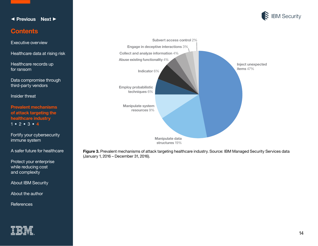<span id="page-13-0"></span>



#### **Contents**

[Executive overview](#page-1-0)

[Healthcare data at rising risk](#page-3-0)

[Healthcare records up](#page-5-0)  for ransom

[Data compromise through](#page-6-0)  third-party vendors

[Insider threat](#page-9-0) 

**[Prevalent mechanisms](#page-10-0)  of attack targeting the healthcare industry**  [1](#page-10-0) **•** [2](#page-11-0) **•** [3](#page-12-0) **• 4**

[Fortify your cybersecurity](#page-14-0)  immune system

[A safer future for healthcare](#page-16-0)

[Protect your enterprise](#page-17-0)  while reducing cost and complexity

[About IBM Security](#page-17-0)

[About the author](#page-18-0)

**[References](#page-19-0)** 





**Figure 3.** Prevalent mechanisms of attack targeting healthcare industry. Source: IBM Managed Security Services data (January 1, 2016 – December 31, 2016).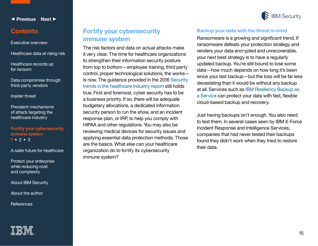

#### <span id="page-14-0"></span>**Contents**

[Executive overview](#page-1-0)

#### [Healthcare data at rising risk](#page-3-0)

[Healthcare records up](#page-5-0)  for ransom

[Data compromise through](#page-6-0)  third-party vendors

[Insider threat](#page-9-0) 

[Prevalent mechanisms](#page-10-0)  of attack targeting the healthcare industry

#### **Fortify your cybersecurity immune system 1 •** [2](#page-15-0) **•** [3](#page-16-0)

[A safer future for healthcare](#page-16-0)

[Protect your enterprise](#page-17-0)  while reducing cost and complexity

[About IBM Security](#page-17-0)

[About the author](#page-18-0)

**[References](#page-19-0)** 



#### **Fortify your cybersecurity immune system**

The risk factors and data on actual attacks make it very clear. The time for healthcare organizations to strengthen their information security posture from top to bottom—employee training, third party control, proper technological solutions, the works is now. The guidance provided in the 2016 [Security](http://www-01.ibm.com/common/ssi/cgi-bin/ssialias?subtype=WH&infotype=SA&htmlfid=SEL03048USEN&attachment=SEL03048USEN.PDF)  [trends in the healthcare industry report](http://www-01.ibm.com/common/ssi/cgi-bin/ssialias?subtype=WH&infotype=SA&htmlfid=SEL03048USEN&attachment=SEL03048USEN.PDF) still holds true. First and foremost, cyber security has to be a business priority. If so, there will be adequate budgetary allocations, a dedicated information security person to run the show, and an incident response plan, or IRP, to help you comply with HIPAA and other regulations. You may also be reviewing medical devices for security issues and applying essential data protection methods. Those are the basics. What else can your healthcare organization do to fortify its cybersecurity immune system?

#### **Backup your data with the threat in mind**

Ransomware is a growing and significant trend. If ransomware defeats your protection strategy and renders your data encrypted and unrecoverable, your next best strategy is to have a regularly updated backup. You're still bound to lose some data—how much depends on how long it's been since your last backup—but the loss will be far less devastating than it would be without any backup at all. Services such as [IBM Resiliency Backup as](file:///L:/AppData/Local/Microsoft/Windows/INetCache/Content.Outlook/AppData/Local/Downloads/IBM%20Resiliency%20Backup%20as%20a%20Service)  [a Service](file:///L:/AppData/Local/Microsoft/Windows/INetCache/Content.Outlook/AppData/Local/Downloads/IBM%20Resiliency%20Backup%20as%20a%20Service) can protect your data with fast, flexible cloud-based backup and recovery.

Just having backups isn't enough. You also need to test them. In several cases seen by IBM X-Force Incident Response and Intelligence Services, companies that had never tested their backups found they didn't work when they tried to restore their data.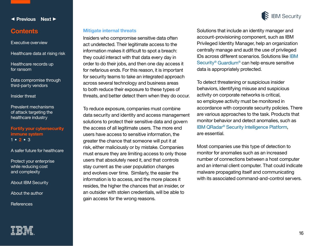

#### <span id="page-15-0"></span>**Contents**

[Executive overview](#page-1-0)

[Healthcare data at rising risk](#page-3-0)

[Healthcare records up](#page-5-0)  for ransom

[Data compromise through](#page-6-0)  third-party vendors

[Insider threat](#page-9-0) 

[Prevalent mechanisms](#page-10-0)  of attack targeting the healthcare industry

#### **[Fortify your cybersecurity](#page-14-0)  immune system** [1](#page-14-0) **• 2 •** [3](#page-16-0)

[A safer future for healthcare](#page-16-0)

[Protect your enterprise](#page-17-0)  while reducing cost and complexity

[About IBM Security](#page-17-0)

[About the author](#page-18-0)

**[References](#page-19-0)** 

#### **Mitigate internal threats**

Insiders who compromise sensitive data often act undetected. Their legitimate access to the information makes it difficult to spot a breach: they could interact with that data every day in order to do their jobs, and then one day access it for nefarious ends. For this reason, it is important for security teams to take an integrated approach across several technology and business areas to both reduce their exposure to these types of threats, and better detect them when they do occur.

To reduce exposure, companies must combine data security and identity and access management solutions to protect their sensitive data and govern the access of all legitimate users. The more end users have access to sensitive information, the greater the chance that someone will put it at risk, either maliciously or by mistake. Companies must ensure they are limiting access to only those users that absolutely need it, and that controls stay current as the user population changes and evolves over time. Similarly, the easier the information is to access, and the more places it resides, the higher the chances that an insider, or an outsider with stolen credentials, will be able to gain access for the wrong reasons.

Solutions that include an identity manager and account-provisioning component, such as IBM Privileged Identity Manager, help an organization centrally manage and audit the use of privileged IDs across different scenarios. Solutions like [IBM](http://www-03.ibm.com/software/products/en/ibm-security-guardium-family)  Security® [Guardium](http://www-03.ibm.com/software/products/en/ibm-security-guardium-family)® can help ensure sensitive data is appropriately protected.

To detect threatening or suspicious insider behaviors, identifying misuse and suspicious activity on corporate networks is critical, so employee activity must be monitored in accordance with corporate security policies. There are various approaches to the task. Products that monitor behavior and detect anomalies, such as IBM QRadar[® Security Intelligence Platform](http://www-03.ibm.com/software/products/en/qradar), are essential.

Most companies use this type of detection to monitor for anomalies such as an increased number of connections between a host computer and an internal client computer. That could indicate malware propagating itself and communicating with its associated command-and-control servers.

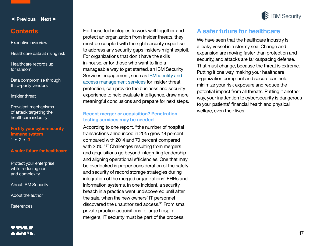

17

#### <span id="page-16-0"></span>◀ **[Previous](#page-15-0) [Next](#page-17-0)** ▶

#### **Contents**

[Executive overview](#page-1-0)

[Healthcare data at rising risk](#page-3-0)

[Healthcare records up](#page-5-0)  for ransom

[Data compromise through](#page-6-0)  third-party vendors

[Insider threat](#page-9-0) 

[Prevalent mechanisms](#page-10-0)  of attack targeting the healthcare industry

#### **[Fortify your cybersecurity](#page-14-0)  immune system**  $1 \cdot 2 \cdot 3$  $1 \cdot 2 \cdot 3$  $1 \cdot 2 \cdot 3$  $1 \cdot 2 \cdot 3$

#### **A safer future for healthcare**

[Protect your enterprise](#page-17-0)  while reducing cost and complexity

[About IBM Security](#page-17-0)

[About the author](#page-18-0)

**[References](#page-19-0)** 

For these technologies to work well together and protect an organization from insider threats, they must be coupled with the right security expertise to address any security gaps insiders might exploit. For organizations that don't have the skills in-house, or for those who want to find a manageable way to get started, an IBM Security Services engagement, such as [IBM identity and](http://www-03.ibm.com/security/services/identity-and-access-management-services/)  [access management services](http://www-03.ibm.com/security/services/identity-and-access-management-services/) for insider threat protection, can provide the business and security experience to help evaluate intelligence, draw more meaningful conclusions and prepare for next steps.

#### **Recent merger or acquisition? Penetration testing services may be needed**

According to one report, "the number of hospital transactions announced in 2015 grew 18 percent compared with 2014 and 70 percent compared with 2010."<sup>37</sup> Challenges resulting from mergers and acquisitions go beyond integrating leadership and aligning operational efficiencies. One that may be overlooked is proper consideration of the safety and security of record storage strategies during integration of the merged organizations' EHRs and information systems. In one incident, a security breach in a practice went undiscovered until after the sale, when the new owners' IT personnel discovered the unauthorized access.<sup>38</sup> From small private practice acquisitions to large hospital mergers, IT security must be part of the process.

#### **A safer future for healthcare**

We have seen that the healthcare industry is a leaky vessel in a stormy sea. Change and expansion are moving faster than protection and security, and attacks are far outpacing defense. That must change, because the threat is extreme. Putting it one way, making your healthcare organization compliant and secure can help minimize your risk exposure and reduce the potential impact from all threats. Putting it another way, your inattention to cybersecurity is dangerous to your patients' financial health and physical welfare, even their lives.

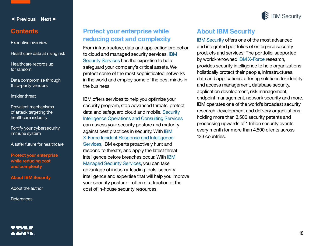

#### <span id="page-17-0"></span>**Contents**

[Executive overview](#page-1-0)

[Healthcare data at rising risk](#page-3-0)

[Healthcare records up](#page-5-0)  for ransom

[Data compromise through](#page-6-0)  third-party vendors

[Insider threat](#page-9-0) 

[Prevalent mechanisms](#page-10-0)  of attack targeting the healthcare industry

[Fortify your cybersecurity](#page-14-0)  immune system

[A safer future for healthcare](#page-16-0)

**Protect your enterprise while reducing cost and complexity**

**About IBM Security**

[About the author](#page-18-0)

**[References](#page-19-0)** 

#### **Protect your enterprise while reducing cost and complexity**

From infrastructure, data and application protection to cloud and managed security services, [IBM](http://www.ibm.com/security/services)  [Security Services](http://www.ibm.com/security/services) has the expertise to help safeguard your company's critical assets. We protect some of the most sophisticated networks in the world and employ some of the best minds in the business.

IBM offers services to help you optimize your security program, stop advanced threats, protect data and safeguard cloud and mobile. [Security](http://www.ibm.com/security/services/security-intelligence-operations-center-consulting/index.html)  [Intelligence Operations and Consulting Services](http://www.ibm.com/security/services/security-intelligence-operations-center-consulting/index.html) can assess your security posture and maturity against best practices in security. With [IBM](http://www-03.ibm.com/security/services/xforce-incident-response-and-intelligence.html)  [X-Force Incident Response and Intelligence](http://www-03.ibm.com/security/services/xforce-incident-response-and-intelligence.html) [Services](http://www-03.ibm.com/security/services/xforce-incident-response-and-intelligence.html), IBM experts proactively hunt and respond to threats, and apply the latest threat intelligence before breaches occur. With [IBM](http://www-03.ibm.com/security/services/managed-security-services/index.html) [Managed Security Services](http://www-03.ibm.com/security/services/managed-security-services/index.html), you can take advantage of industry-leading tools, security intelligence and expertise that will help you improve your security posture—often at a fraction of the cost of in-house security resources.

#### **About IBM Security**

[IBM Security](http://www.ibm.com/security/) offers one of the most advanced and integrated portfolios of enterprise security products and services. The portfolio, supported by world-renowned [IBM X-Force](http://www.ibm.com/security/xforce/) research, provides security intelligence to help organizations holistically protect their people, infrastructures, data and applications, offering solutions for identity and access management, database security, application development, risk management, endpoint management, network security and more. IBM operates one of the world's broadest security research, development and delivery organizations, holding more than 3,500 security patents and processing upwards of 1 trillion security events every month for more than 4,500 clients across 133 countries.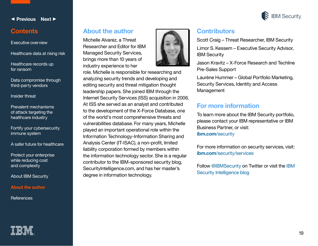

#### <span id="page-18-0"></span>**Contents**

#### [Executive overview](#page-1-0)

[Healthcare data at rising risk](#page-3-0)

[Healthcare records up](#page-5-0)  for ransom

[Data compromise through](#page-6-0)  third-party vendors

[Insider threat](#page-9-0) 

[Prevalent mechanisms](#page-10-0)  of attack targeting the healthcare industry

[Fortify your cybersecurity](#page-14-0)  immune system

[A safer future for healthcare](#page-16-0)

[Protect your enterprise](#page-17-0)  while reducing cost and complexity

[About IBM Security](#page-17-0)

**About the author**

**[References](#page-19-0)** 

#### **About the author**

Michelle Alvarez, a Threat Researcher and Editor for IBM Managed Security Services, brings more than 10 years of industry experience to her



role. Michelle is responsible for researching and analyzing security trends and developing and editing security and threat mitigation thought leadership papers. She joined IBM through the Internet Security Services (ISS) acquisition in 2006. At ISS she served as an analyst and contributed to the development of the X-Force Database, one of the world's most comprehensive threats and vulnerabilities database. For many years, Michelle played an important operational role within the Information Technology-Information Sharing and Analysis Center (IT-ISAC), a non-profit, limited liability corporation formed by members within the information technology sector. She is a regular contributor to the IBM-sponsored security blog, SecurityIntelligence.com, and has her master's degree in information technology.

## **Contributors**

Scott Craig – Threat Researcher, IBM Security Limor S. Kessem – Executive Security Advisor, IBM Security

Jason Kravitz – X-Force Research and Techline Pre-Sales Support

Laurène Hummer – Global Portfolio Marketing, Security Services, Identity and Access Management

#### **For more information**

To learn more about the IBM Security portfolio, please contact your IBM representative or IBM Business Partner, or visit: **[ibm.com](http://www.ibm.com/security)**/security

For more information on security services, visit: **ibm.com**[/security/services](http://www.ibm.com/security/services)

Follow [@IBMSecurity](http://twitter.com/@IBMSecurity) on Twitter or visit the [IBM](https://securityintelligence.com/)  [Security Intelligence blog](https://securityintelligence.com/)

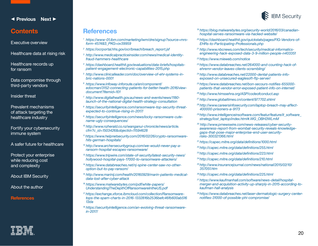

**References**

- *<sup>1</sup> [https://www-01.ibm.com/marketing/iwm/dre/signup?source=mrs](https://www-01.ibm.com/marketing/iwm/dre/signup?source=mrs-form-4574&S_PKG=ov39959)[form-4574&S\\_PKG=ov39959](https://www-01.ibm.com/marketing/iwm/dre/signup?source=mrs-form-4574&S_PKG=ov39959)*
- *<sup>2</sup> [https://ocrportal.hhs.gov/ocr/breach/breach\\_report.jsf](https://ocrportal.hhs.gov/ocr/breach/breach_report.jsf)*
- *<sup>3</sup> [http://www.medicalpracticeinsider.com/news/medical-identity](http://www.medicalpracticeinsider.com/news/medical-identity-fraud-hammers-healthcare)[fraud-hammers-healthcare](http://www.medicalpracticeinsider.com/news/medical-identity-fraud-hammers-healthcare)*
- *<sup>4</sup> [https://dashboard.healthit.gov/evaluations/data-briefs/hospitals](https://dashboard.healthit.gov/evaluations/data-briefs/hospitals-patient-engagement-electronic-capabilities-2015.php)[patient-engagement-electronic-capabilities-2015.php](https://dashboard.healthit.gov/evaluations/data-briefs/hospitals-patient-engagement-electronic-capabilities-2015.php)*
- *<sup>5</sup> [http://www.clinicalleader.com/doc/overview-of-ehr-systems-in](http://www.clinicalleader.com/doc/overview-of-ehr-systems-in-bric-nations-0001)[bric-nations-0001](http://www.clinicalleader.com/doc/overview-of-ehr-systems-in-bric-nations-0001)*
- *<sup>6</sup> [https://www.infoway-inforoute.ca/en/component/](https://www.infoway-inforoute.ca/en/component/edocman/3152-connecting-patients-for-better-health-2016/view-document?Itemid=101) [edocman/3152-connecting-patients-for-better-health-2016/view](https://www.infoway-inforoute.ca/en/component/edocman/3152-connecting-patients-for-better-health-2016/view-document?Itemid=101)[document?Itemid=101](https://www.infoway-inforoute.ca/en/component/edocman/3152-connecting-patients-for-better-health-2016/view-document?Itemid=101)*
- *<sup>7</sup> [http://www.digitalhealth.gov.au/news-and-events/news/1180](http://www.digitalhealth.gov.au/news-and-events/news/1180-launch-of-the-national-digital-health-strategy-consultation) [launch-of-the-national-digital-health-strategy-consultation](http://www.digitalhealth.gov.au/news-and-events/news/1180-launch-of-the-national-digital-health-strategy-consultation)*
- *<sup>8</sup> [https://securityintelligence.com/ransomware-top-security-threat](https://securityintelligence.com/ransomware-top-security-threat-expected-to-continue-rising-in-2017/)[expected-to-continue-rising-in-2017/](https://securityintelligence.com/ransomware-top-security-threat-expected-to-continue-rising-in-2017/)*
- *<sup>9</sup> [https://securityintelligence.com/news/locky-ransomware-cute](https://securityintelligence.com/news/locky-ransomware-cute-name-ugly-consequences/)[name-ugly-consequences/](https://securityintelligence.com/news/locky-ransomware-cute-name-ugly-consequences/)*
- *<sup>10</sup> [http://www.nzherald.co.nz/wanganui-chronicle/news/article.](http://www.nzherald.co.nz/wanganui-chronicle/news/article.cfm?c_id=1503426&objectid=11594628) [cfm?c\\_id=1503426&objectid=11594628](http://www.nzherald.co.nz/wanganui-chronicle/news/article.cfm?c_id=1503426&objectid=11594628)*
- *<sup>11</sup> [https://www.helpnetsecurity.com/2016/02/26/crypto-ransomware](https://www.helpnetsecurity.com/2016/02/26/crypto-ransomware-hits-german-hospitals/)[hits-german-hospitals/](https://www.helpnetsecurity.com/2016/02/26/crypto-ransomware-hits-german-hospitals/)*
- *<sup>12</sup> [http://www.archersecuritygroup.com/we-would-never-pay-a](http://www.archersecuritygroup.com/we-would-never-pay-a-ransom-hospital-escapes-ransomware/)[ransom-hospital-escapes-ransomware/](http://www.archersecuritygroup.com/we-would-never-pay-a-ransom-hospital-escapes-ransomware/)*
- *<sup>13</sup> [https://www.tripwire.com/state-of-security/latest-security-news/](https://www.tripwire.com/state-of-security/latest-security-news/hollywood-hospital-pays-17000-to-ransomware-attackers/) [hollywood-hospital-pays-17000-to-ransomware-attackers/](https://www.tripwire.com/state-of-security/latest-security-news/hollywood-hospital-pays-17000-to-ransomware-attackers/)*
- *<sup>14</sup> [https://www.databreaches.net/nj-spine-center-saw-no-other](https://www.tripwire.com/state-of-security/latest-security-news/hollywood-hospital-pays-17000-to-ransomware-attackers/)[option-but-to-pay-ransom/](https://www.tripwire.com/state-of-security/latest-security-news/hollywood-hospital-pays-17000-to-ransomware-attackers/)*
- *<sup>15</sup> [http://www.marinij.com/health/20160929/marin-patients-medical](http://www.marinij.com/health/20160929/marin-patients-medical-data-lost-after-cyber-attack)[data-lost-after-cyber-attack](http://www.marinij.com/health/20160929/marin-patients-medical-data-lost-after-cyber-attack)*
- *<sup>16</sup> [https://www.malwarebytes.com/pdf/white-papers/](https://www.malwarebytes.com/pdf/white-papers/UnderstandingTheDepthOfRansomwareIntheUS.pdf) [UnderstandingTheDepthOfRansomwareIntheUS.pdf](https://www.malwarebytes.com/pdf/white-papers/UnderstandingTheDepthOfRansomwareIntheUS.pdf)*
- *<sup>17</sup> [https://exchange.xforce.ibmcloud.com/collection/Ransomware](https://exchange.xforce.ibmcloud.com/collection/Ransomware-tops-the-spam-charts-in-2016-1332816b2536befc46fb600ab51613da)[tops-the-spam-charts-in-2016-1332816b2536befc46fb600ab516](https://exchange.xforce.ibmcloud.com/collection/Ransomware-tops-the-spam-charts-in-2016-1332816b2536befc46fb600ab51613da) [13da](https://exchange.xforce.ibmcloud.com/collection/Ransomware-tops-the-spam-charts-in-2016-1332816b2536befc46fb600ab51613da)*
- *<sup>18</sup> [https://securityintelligence.com/an-evolving-threat-ransomware](https://securityintelligence.com/an-evolving-threat-ransomware-in-2017/)[in-2017/](https://securityintelligence.com/an-evolving-threat-ransomware-in-2017/)*
- *<sup>19</sup> [https://blog.malwarebytes.org/security-world/2016/03/canadian](https://blog.malwarebytes.org/security-world/2016/03/canadian-hospital-serves-ransomware-via-hacked-website/)[hospital-serves-ransomware-via-hacked-website/](https://blog.malwarebytes.org/security-world/2016/03/canadian-hospital-serves-ransomware-via-hacked-website/)*
- *<sup>20</sup> [https://dashboard.healthit.gov/quickstats/pages/FIG-Vendors-of-](https://dashboard.healthit.gov/quickstats/pages/FIG-Vendors-of-EHRs-to-Participating-Professionals.php)[EHRs-to-Participating-Professionals.php](https://dashboard.healthit.gov/quickstats/pages/FIG-Vendors-of-EHRs-to-Participating-Professionals.php)*
- *<sup>21</sup> [http://www.nbcnews.com/tech/security/medical-informatics](http://www.nbcnews.com/tech/security/medical-informatics-engineering-hack-exposed-data-3-9-million-people-n403351)[engineering-hack-exposed-data-3-9-million-people-n403351](http://www.nbcnews.com/tech/security/medical-informatics-engineering-hack-exposed-data-3-9-million-people-n403351)*
- *<sup>22</sup> <https://www.mieweb.com/notice>*
- *<sup>23</sup> [https://www.databreaches.net/264000-and-counting-hack-of](https://www.databreaches.net/264000-and-counting-hack-of-ehremr-vendor-leaves-clients-scrambling/)[ehremr-vendor-leaves-clients-scrambling/](https://www.databreaches.net/264000-and-counting-hack-of-ehremr-vendor-leaves-clients-scrambling/)*
- *<sup>24</sup> [http://www.databreaches.net/22000-dental-patients-info](http://www.databreaches.net/22000-dental-patients-info-exposed-on-unsecured-eaglesoft-ftp-server/)[exposed-on-unsecured-eaglesoft-ftp-server/](http://www.databreaches.net/22000-dental-patients-info-exposed-on-unsecured-eaglesoft-ftp-server/)*
- *<sup>25</sup> [https://www.databreaches.net/bon-secours-notifies-655000](https://www.databreaches.net/bon-secours-notifies-655000-patients-that-vendor-error-exposed-patient-info-on-internet/) [patients-that-vendor-error-exposed-patient-info-on-internet/](https://www.databreaches.net/bon-secours-notifies-655000-patients-that-vendor-error-exposed-patient-info-on-internet/)*
- *<sup>26</sup> <http://www.himssehra.org/ASP/codeofconduct.asp>*
- *<sup>27</sup> <http://www.globaltimes.cn/content/977702.shtml>*
- *<sup>28</sup> [http://www.careersinfosecurity.com/laptop-breach-may-affect-](http://www.careersinfosecurity.com/laptop-breach-may-affect-400000-prisoners-a-9173)[400000-prisoners-a-9173](http://www.careersinfosecurity.com/laptop-breach-may-affect-400000-prisoners-a-9173)*
- *<sup>29</sup> [http://www.intelligenceinsoftware.com/featur/feature/it\\_software\\_](http://www.intelligenceinsoftware.com/featur/feature/it_software_strategy/lost_laptop/index.html#.WG_OBH2WLmM) [strategy/lost\\_laptop/index.html#.WG\\_OBH2WLmM](http://www.intelligenceinsoftware.com/featur/feature/it_software_strategy/lost_laptop/index.html#.WG_OBH2WLmM)*
- *3[0 http://www.prnewswire.com/news-releases/cyber-security](http://www.prnewswire.com/news-releases/cyber-security-awareness-report-from-wombat-security-reveals-knowledge-gaps-that-pose-major-enterprise-end-user-security-risks-300321366.html)[awareness-report-from-wombat-security-reveals-knowledge](http://www.prnewswire.com/news-releases/cyber-security-awareness-report-from-wombat-security-reveals-knowledge-gaps-that-pose-major-enterprise-end-user-security-risks-300321366.html)[gaps-that-pose-major-enterprise-end-user-security](http://www.prnewswire.com/news-releases/cyber-security-awareness-report-from-wombat-security-reveals-knowledge-gaps-that-pose-major-enterprise-end-user-security-risks-300321366.html)[risks-300321366.html](http://www.prnewswire.com/news-releases/cyber-security-awareness-report-from-wombat-security-reveals-knowledge-gaps-that-pose-major-enterprise-end-user-security-risks-300321366.html)*
- *<sup>31</sup> <https://capec.mitre.org/data/definitions/1000.html>*
- *<sup>32</sup> <http://capec.mitre.org/data/definitions/255.html>*
- *<sup>33</sup> <http://capec.mitre.org/data/definitions/223.html>*
- *<sup>34</sup> <http://capec.mitre.org/data/definitions/210.html>*
- *35[http://www.insurancejournal.com/news/national/2015/02/10/](http://www.insurancejournal.com/news/national/2015/02/10/357051.htm) [357051.htm](http://www.insurancejournal.com/news/national/2015/02/10/357051.htm)*
- *<sup>36</sup> <http://capec.mitre.org/data/definitions/225.html>*
- *<sup>37</sup> [https://www.kaufmanhall.com/software/news-detail/hospital](https://www.kaufmanhall.com/software/news-detail/hospital-merger-and-acquisition-activity-up-sharply-in-2015-according-to-kaufman-hall-analysis)[merger-and-acquisition-activity-up-sharply-in-2015-according-to](https://www.kaufmanhall.com/software/news-detail/hospital-merger-and-acquisition-activity-up-sharply-in-2015-according-to-kaufman-hall-analysis)[kaufman-hall-analysis](https://www.kaufmanhall.com/software/news-detail/hospital-merger-and-acquisition-activity-up-sharply-in-2015-according-to-kaufman-hall-analysis)*
- *<sup>38</sup> [https://www.databreaches.net/laser-dermatologic-surgery-center](https://www.databreaches.net/laser-dermatologic-surgery-center-notifies-31000-of-possible-phi-compromise/)[notifies-31000-of-possible-phi-compromise/](https://www.databreaches.net/laser-dermatologic-surgery-center-notifies-31000-of-possible-phi-compromise/)*



#### <span id="page-19-0"></span>**Contents**

[Executive overview](#page-1-0)

[Healthcare data at rising risk](#page-3-0)

[Healthcare records up](#page-5-0)  for ransom

[Data compromise through](#page-6-0)  third-party vendors

[Insider threat](#page-9-0) 

[Prevalent mechanisms](#page-10-0)  of attack targeting the healthcare industry

[Fortify your cybersecurity](#page-14-0)  immune system

[A safer future for healthcare](#page-16-0)

[Protect your enterprise](#page-17-0)  while reducing cost and complexity

[About IBM Security](#page-17-0)

[About the author](#page-18-0)

**References**